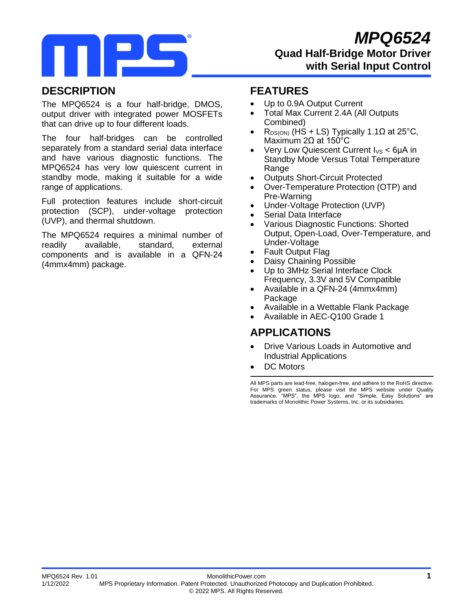

### **DESCRIPTION**

The MPQ6524 is a four half-bridge, DMOS, output driver with integrated power MOSFETs that can drive up to four different loads.

The four half-bridges can be controlled separately from a standard serial data interface and have various diagnostic functions. The MPQ6524 has very low quiescent current in standby mode, making it suitable for a wide range of applications.

Full protection features include short-circuit protection (SCP), under-voltage protection (UVP), and thermal shutdown.

The MPQ6524 requires a minimal number of readily available, standard, external components and is available in a QFN-24 (4mmx4mm) package.

### **FEATURES**

- Up to 0.9A Output Current
- Total Max Current 2.4A (All Outputs Combined)
- R<sub>DS(ON)</sub> (HS + LS) Typically 1.1 $\Omega$  at 25°C, Maximum 2Ω at 150°C
- Very Low Quiescent Current  $I_{VS}$  < 6uA in Standby Mode Versus Total Temperature **Range**
- **Outputs Short-Circuit Protected**
- Over-Temperature Protection (OTP) and Pre-Warning
- Under-Voltage Protection (UVP)
- Serial Data Interface
- Various Diagnostic Functions: Shorted Output, Open-Load, Over-Temperature, and Under-Voltage
- Fault Output Flag
- Daisy Chaining Possible
- Up to 3MHz Serial Interface Clock Frequency, 3.3V and 5V Compatible
- Available in a QFN-24 (4mmx4mm) Package
- Available in a Wettable Flank Package
- Available in AEC-Q100 Grade 1

### **APPLICATIONS**

- Drive Various Loads in Automotive and Industrial Applications
- DC Motors

All MPS parts are lead-free, halogen-free, and adhere to the RoHS directive. For MPS green status, please visit the MPS website under Quality Assurance. "MPS", the MPS logo, and "Simple, Easy Solutions" are trademarks of Monolithic Power Systems, Inc. or its subsidiaries.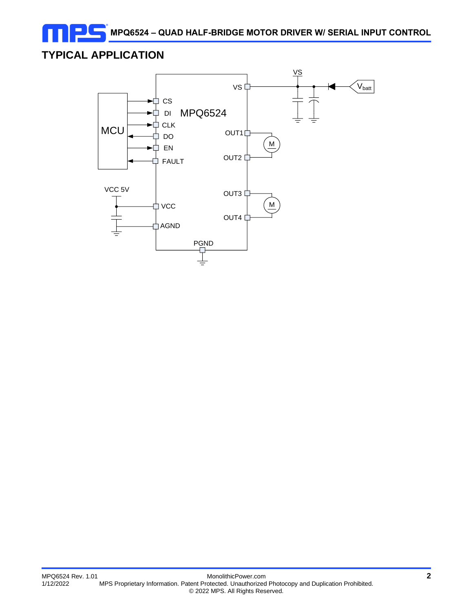**MPQ6524 – QUAD HALF-BRIDGE MOTOR DRIVER W/ SERIAL INPUT CONTROL**

# **TYPICAL APPLICATION**

Ξ

п

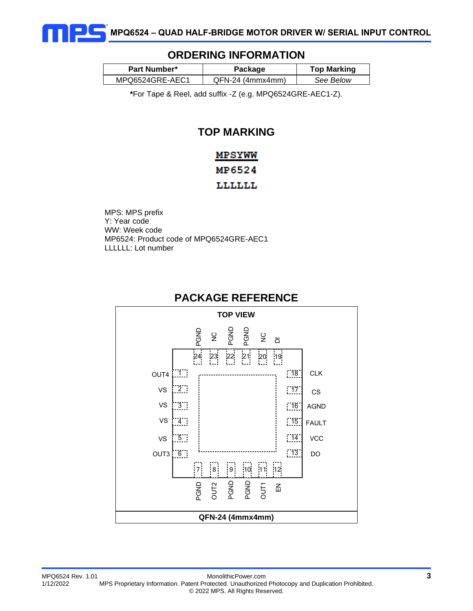

#### **ORDERING INFORMATION**

| <b>Part Number*</b> | Package            | <b>Top Marking</b> |  |  |
|---------------------|--------------------|--------------------|--|--|
| MPQ6524GRE-AEC1     | $QFN-24$ (4mmx4mm) | See Below          |  |  |

**\***For Tape & Reel, add suffix -Z (e.g. MPQ6524GRE-AEC1-Z).

### **TOP MARKING**

# MPSYWW MP6524 **LLLLLL**

MPS: MPS prefix Y: Year code WW: Week code MP6524: Product code of MPQ6524GRE-AEC1 LLLLLL: Lot number



### **PACKAGE REFERENCE**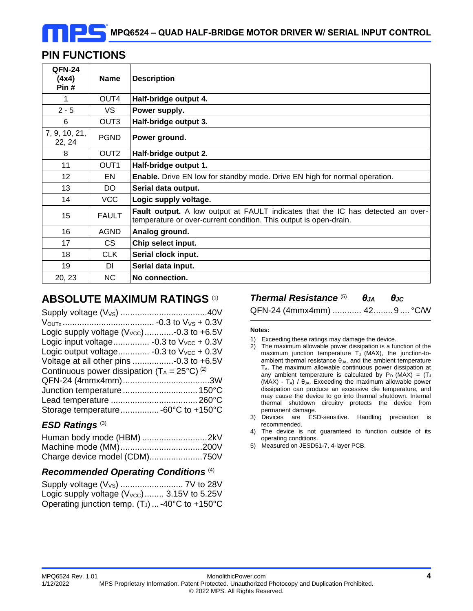### **PIN FUNCTIONS**

| <b>QFN-24</b><br>(4x4)<br>Pin# | <b>Name</b>      | <b>Description</b>                                                                                                                                   |
|--------------------------------|------------------|------------------------------------------------------------------------------------------------------------------------------------------------------|
| 1                              | OUT4             | Half-bridge output 4.                                                                                                                                |
| $2 - 5$                        | <b>VS</b>        | Power supply.                                                                                                                                        |
| 6                              | OUT <sub>3</sub> | Half-bridge output 3.                                                                                                                                |
| 7, 9, 10, 21,<br>22, 24        | <b>PGND</b>      | Power ground.                                                                                                                                        |
| 8                              | OUT <sub>2</sub> | Half-bridge output 2.                                                                                                                                |
| 11                             | OUT <sub>1</sub> | Half-bridge output 1.                                                                                                                                |
| 12 <sup>2</sup>                | EN               | <b>Enable.</b> Drive EN low for standby mode. Drive EN high for normal operation.                                                                    |
| 13                             | DO.              | Serial data output.                                                                                                                                  |
| 14                             | <b>VCC</b>       | Logic supply voltage.                                                                                                                                |
| 15                             | <b>FAULT</b>     | Fault output. A low output at FAULT indicates that the IC has detected an over-<br>temperature or over-current condition. This output is open-drain. |
| 16                             | <b>AGND</b>      | Analog ground.                                                                                                                                       |
| 17                             | CS.              | Chip select input.                                                                                                                                   |
| 18                             | <b>CLK</b>       | Serial clock input.                                                                                                                                  |
| 19                             | DI               | Serial data input.                                                                                                                                   |
| 20, 23                         | <b>NC</b>        | No connection.                                                                                                                                       |

### **ABSOLUTE MAXIMUM RATINGS** (1)

| Logic supply voltage $(V_{\text{VCC}})$ -0.3 to +6.5V               |
|---------------------------------------------------------------------|
| Logic input voltage -0.3 to $V_{VCC}$ + 0.3V                        |
| Logic output voltage -0.3 to $V_{VCC}$ + 0.3V                       |
|                                                                     |
| Continuous power dissipation ( $T_A = 25^{\circ}C$ ) <sup>(2)</sup> |
|                                                                     |
|                                                                     |
|                                                                     |
| Storage temperature -60°C to +150°C                                 |
|                                                                     |

### *ESD Ratings* (3)

#### *Recommended Operating Conditions* (4)

| Logic supply voltage $(V_{\text{VCC}})$ 3.15V to 5.25V |  |
|--------------------------------------------------------|--|
| Operating junction temp. (TJ)  -40°C to +150°C         |  |

*Thermal Resistance* (5) *θJA θJC*

QFN-24 (4mmx4mm) ............ 42........9 .... °C/W

#### **Notes:**

- 1) Exceeding these ratings may damage the device.
- 2) The maximum allowable power dissipation is a function of the maximum junction temperature  $T_J$  (MAX), the junction-toambient thermal resistance  $\theta_{JA}$ , and the ambient temperature  $T_A$ . The maximum allowable continuous power dissipation at any ambient temperature is calculated by  $P_D$  (MAX) = (T<sub>J</sub> (MAX) - TA) /  $\theta_{JA}$ . Exceeding the maximum allowable power dissipation can produce an excessive die temperature, and may cause the device to go into thermal shutdown. Internal thermal shutdown circuitry protects the device from permanent damage.
- 3) Devices are ESD-sensitive. Handling precaution is recommended.
- 4) The device is not guaranteed to function outside of its operating conditions.
- 5) Measured on JESD51-7, 4-layer PCB.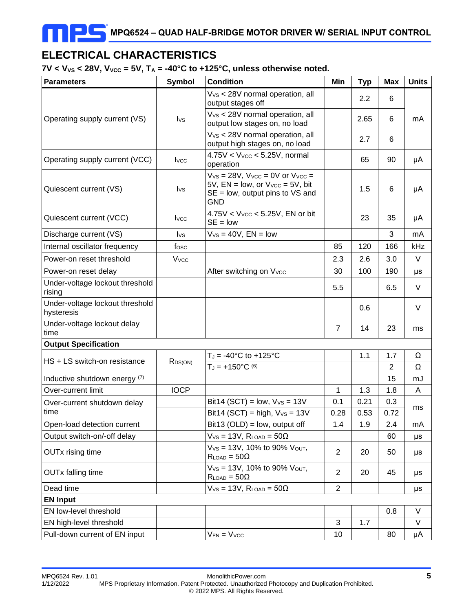# **ELECTRICAL CHARACTERISTICS**

 $7V < V_{VS} < 28V$ ,  $V_{VCC} = 5V$ ,  $T_A = -40^{\circ}C$  to  $+125^{\circ}C$ , unless otherwise noted.

| <b>Parameters</b>                             | <b>Symbol</b>   | <b>Condition</b>                                                                                                                               | Min            | <b>Typ</b> | <b>Max</b>     | <b>Units</b> |
|-----------------------------------------------|-----------------|------------------------------------------------------------------------------------------------------------------------------------------------|----------------|------------|----------------|--------------|
|                                               |                 | $Vvs < 28V$ normal operation, all<br>output stages off                                                                                         |                | 2.2        | 6              |              |
| Operating supply current (VS)                 | $I_{\text{VS}}$ | $Vvs < 28V$ normal operation, all<br>output low stages on, no load                                                                             |                | 2.65       | 6              | mA           |
|                                               |                 | V <sub>VS</sub> < 28V normal operation, all<br>output high stages on, no load                                                                  |                | 2.7        | 6              |              |
| Operating supply current (VCC)                | <b>I</b> vcc    | $4.75V < V_{VCC} < 5.25V$ , normal<br>operation                                                                                                |                | 65         | 90             | μA           |
| Quiescent current (VS)                        | $I_{\text{VS}}$ | $V_{VS} = 28V$ , $V_{VCC} = 0V$ or $V_{VCC} =$<br>5V, $EN = low$ , or $V_{VCC} = 5V$ , bit<br>$SE = low$ , output pins to VS and<br><b>GND</b> |                | 1.5        | 6              | μA           |
| Quiescent current (VCC)                       | <b>I</b> vcc    | $4.75V < VVCC < 5.25V$ , EN or bit<br>$SE = low$                                                                                               |                | 23         | 35             | μA           |
| Discharge current (VS)                        | $I_{\text{VS}}$ | $V_{VS} = 40V$ , $EN = low$                                                                                                                    |                |            | 3              | mA           |
| Internal oscillator frequency                 | fosc            |                                                                                                                                                | 85             | 120        | 166            | kHz          |
| Power-on reset threshold                      | <b>V</b> vcc    |                                                                                                                                                | 2.3            | 2.6        | 3.0            | V            |
| Power-on reset delay                          |                 | After switching on V <sub>vcc</sub>                                                                                                            | 30             | 100        | 190            | μs           |
| Under-voltage lockout threshold<br>rising     |                 |                                                                                                                                                | 5.5            |            | 6.5            | V            |
| Under-voltage lockout threshold<br>hysteresis |                 |                                                                                                                                                |                | 0.6        |                | V            |
| Under-voltage lockout delay<br>time           |                 |                                                                                                                                                | $\overline{7}$ | 14         | 23             | ms           |
| <b>Output Specification</b>                   |                 |                                                                                                                                                |                |            |                |              |
| HS + LS switch-on resistance                  | $R_{DS(ON)}$    | $T_J = -40^{\circ}C$ to $+125^{\circ}C$                                                                                                        |                | 1.1        | 1.7            | Ω            |
|                                               |                 | $T_J = +150^{\circ}C^{(6)}$                                                                                                                    |                |            | $\overline{2}$ | Ω            |
| Inductive shutdown energy (7)                 |                 |                                                                                                                                                |                |            | 15             | mJ           |
| Over-current limit                            | <b>IOCP</b>     |                                                                                                                                                | 1              | 1.3        | 1.8            | A            |
| Over-current shutdown delay                   |                 | Bit14 (SCT) = $low, VVS = 13V$                                                                                                                 | 0.1            | 0.21       | 0.3            | ms           |
| time                                          |                 | Bit14 (SCT) = high, $Vvs = 13V$                                                                                                                | 0.28           | 0.53       | 0.72           |              |
| Open-load detection current                   |                 | Bit13 (OLD) = $low$ , output off                                                                                                               | 1.4            | 1.9        | 2.4            | mA           |
| Output switch-on/-off delay                   |                 | $V_{VS} = 13V$ , $R_{LOAD} = 50\Omega$                                                                                                         |                |            | 60             | μs           |
| <b>OUTx rising time</b>                       |                 | $V_{VS} = 13V$ , 10% to 90% $V_{OUT}$ ,<br>$R_{LOAD} = 50\Omega$                                                                               | $\overline{2}$ | 20         | 50             | μs           |
| <b>OUTx falling time</b>                      |                 | $V_{VS} = 13V$ , 10% to 90% $V_{OUT}$ ,<br>$R_{LOAD} = 50\Omega$                                                                               | $\overline{2}$ | 20         | 45             | μs           |
| Dead time                                     |                 | $V_{VS}$ = 13V, $R_{LOAD}$ = 50 $\Omega$                                                                                                       | $\overline{2}$ |            |                | μs           |
| <b>EN Input</b>                               |                 |                                                                                                                                                |                |            |                |              |
| EN low-level threshold                        |                 |                                                                                                                                                |                |            | 0.8            | V            |
| EN high-level threshold                       |                 |                                                                                                                                                | 3              | 1.7        |                | V            |
| Pull-down current of EN input                 |                 | $V_{EN} = V_{VCC}$                                                                                                                             | 10             |            | 80             | μA           |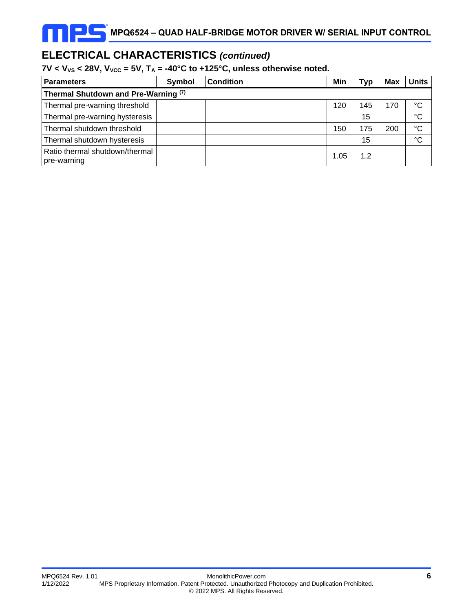# **ELECTRICAL CHARACTERISTICS** *(continued)*

#### $7V < V_{VS}$  < 28V,  $V_{VCC}$  = 5V,  $T_A$  = -40°C to +125°C, unless otherwise noted.

| <b>Parameters</b>                             | Symbol | <b>Condition</b> | Min  | <b>Typ</b> | <b>Max</b> | <b>Units</b>    |
|-----------------------------------------------|--------|------------------|------|------------|------------|-----------------|
| Thermal Shutdown and Pre-Warning (7)          |        |                  |      |            |            |                 |
| Thermal pre-warning threshold                 |        |                  | 120  | 145        | 170        | °C              |
| Thermal pre-warning hysteresis                |        |                  |      | 15         |            | $\rm ^{\circ}C$ |
| Thermal shutdown threshold                    |        |                  | 150  | 175        | 200        | °C              |
| Thermal shutdown hysteresis                   |        |                  |      | 15         |            | $\rm ^{\circ}C$ |
| Ratio thermal shutdown/thermal<br>pre-warning |        |                  | 1.05 | 1.2        |            |                 |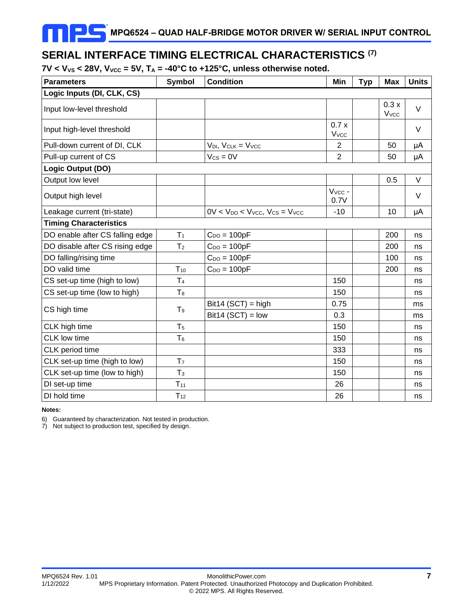### **SERIAL INTERFACE TIMING ELECTRICAL CHARACTERISTICS (7)**

 $7V < V_{VS} < 28V$ ,  $V_{VCC} = 5V$ ,  $T_A = -40^{\circ}C$  to  $+125^{\circ}C$ , unless otherwise noted.

| <b>Parameters</b>               | Symbol         | <b>Condition</b>                             | Min                             | <b>Typ</b> | <b>Max</b>           | <b>Units</b> |
|---------------------------------|----------------|----------------------------------------------|---------------------------------|------------|----------------------|--------------|
| Logic Inputs (DI, CLK, CS)      |                |                                              |                                 |            |                      |              |
| Input low-level threshold       |                |                                              |                                 |            | 0.3x<br><b>V</b> vcc | $\vee$       |
| Input high-level threshold      |                |                                              | 0.7x<br><b>V</b> <sub>vcc</sub> |            |                      | $\vee$       |
| Pull-down current of DI, CLK    |                | $V_{DI}$ , $V_{CLK} = V_{VCC}$               | $\overline{2}$                  |            | 50                   | μA           |
| Pull-up current of CS           |                | $V_{CS} = 0V$                                | $\overline{2}$                  |            | 50                   | μA           |
| Logic Output (DO)               |                |                                              |                                 |            |                      |              |
| Output low level                |                |                                              |                                 |            | 0.5                  | V            |
| Output high level               |                |                                              | Vvcc -<br>0.7V                  |            |                      | $\vee$       |
| Leakage current (tri-state)     |                | $0V < V_{DO} < V_{VCC}$ , $V_{CS} = V_{VCC}$ | $-10$                           |            | 10                   | μA           |
| <b>Timing Characteristics</b>   |                |                                              |                                 |            |                      |              |
| DO enable after CS falling edge | T <sub>1</sub> | $C_{DO} = 100pF$                             |                                 |            | 200                  | ns           |
| DO disable after CS rising edge | T <sub>2</sub> | $C_{DO} = 100pF$                             |                                 |            | 200                  | ns           |
| DO falling/rising time          |                | $C_{DO} = 100pF$                             |                                 |            | 100                  | ns           |
| DO valid time                   | $T_{10}$       | $C_{DO} = 100pF$                             |                                 |            | 200                  | ns           |
| CS set-up time (high to low)    | T <sub>4</sub> |                                              | 150                             |            |                      | ns           |
| CS set-up time (low to high)    | $T_8$          |                                              | 150                             |            |                      | ns           |
| CS high time                    | T <sub>9</sub> | $Bit14 (SCT) = high$                         | 0.75                            |            |                      | ms           |
|                                 |                | $Bit14 (SCT) = low$                          | 0.3                             |            |                      | ms           |
| CLK high time                   | T <sub>5</sub> |                                              | 150                             |            |                      | ns           |
| <b>CLK</b> low time             | $T_6$          |                                              | 150                             |            |                      | ns           |
| CLK period time                 |                |                                              | 333                             |            |                      | ns           |
| CLK set-up time (high to low)   | T <sub>7</sub> |                                              | 150                             |            |                      | ns           |
| CLK set-up time (low to high)   | T <sub>3</sub> |                                              | 150                             |            |                      | ns           |
| DI set-up time                  | $T_{11}$       |                                              | 26                              |            |                      | ns           |
| DI hold time                    | $T_{12}$       |                                              | 26                              |            |                      | ns           |

#### **Notes:**

6) Guaranteed by characterization. Not tested in production.

7) Not subject to production test, specified by design.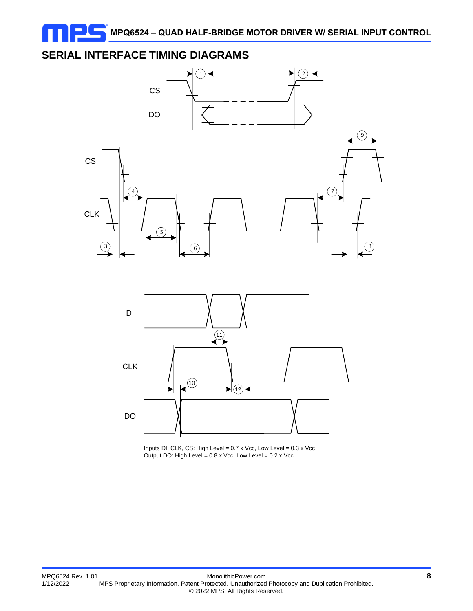# **SERIAL INTERFACE TIMING DIAGRAMS**



DO

Inputs DI, CLK, CS: High Level <sup>=</sup> 0.7 <sup>x</sup> Vcc, Low Level <sup>=</sup> 0.3 <sup>x</sup> Vcc Output DO: High Level <sup>=</sup> 0.8 <sup>x</sup> Vcc, Low Level <sup>=</sup> 0.2 <sup>x</sup> Vcc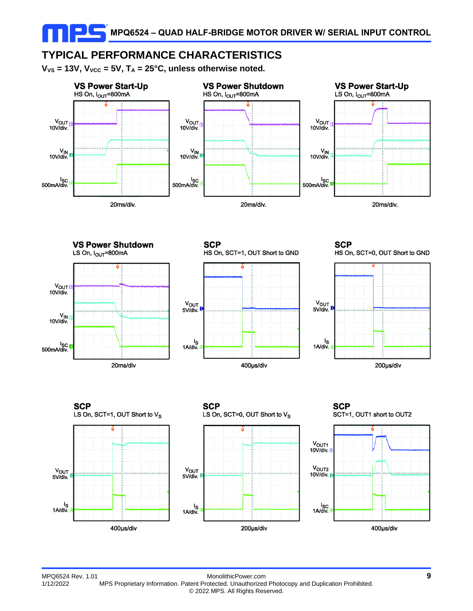# **TYPICAL PERFORMANCE CHARACTERISTICS**

 $V_{VS}$  = 13V,  $V_{VCC}$  = 5V,  $T_A$  = 25°C, unless otherwise noted.



**VS Power Shutdown** LS On,  $I_{OUT}$ =800mA





**SCP** 





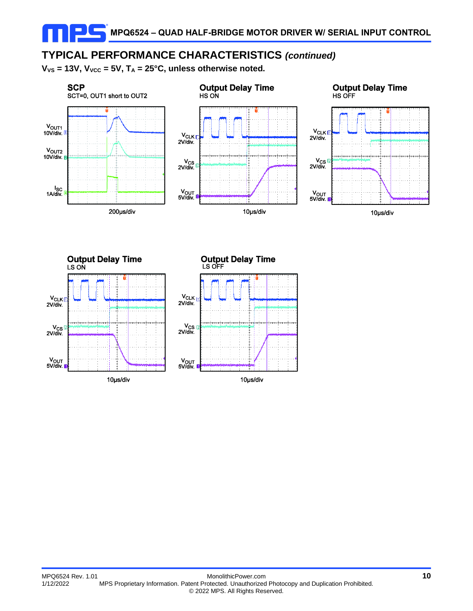# **TYPICAL PERFORMANCE CHARACTERISTICS** *(continued)*

 $V_{VS}$  = 13V,  $V_{VCC}$  = 5V,  $T_A$  = 25°C, unless otherwise noted.



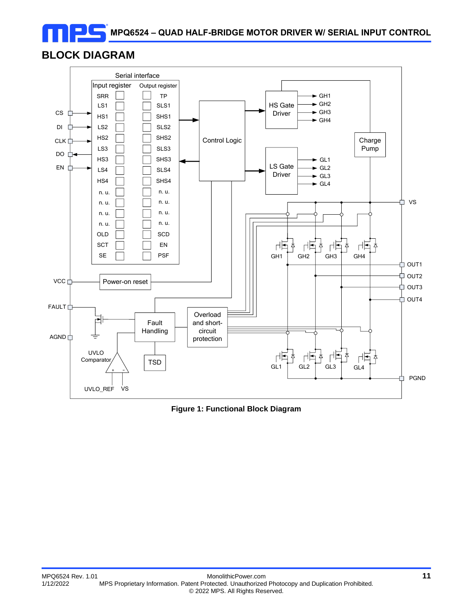# **BLOCK DIAGRAM**



**Figure 1: Functional Block Diagram**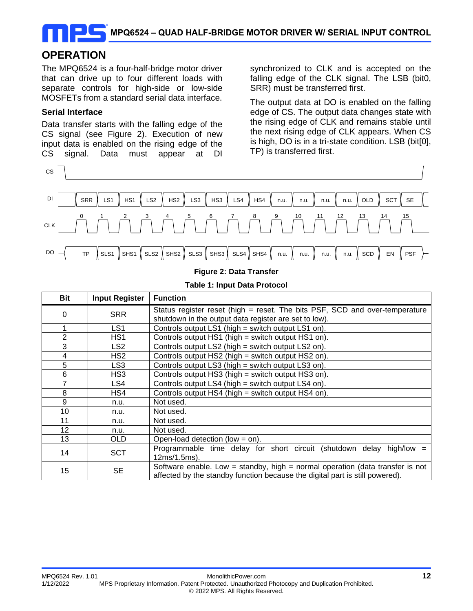### **OPERATION**

The MPQ6524 is a four-half-bridge motor driver that can drive up to four different loads with separate controls for high-side or low-side MOSFETs from a standard serial data interface.

#### **Serial Interface**

Data transfer starts with the falling edge of the CS signal (see Figure 2). Execution of new input data is enabled on the rising edge of the CS signal. Data must appear at DI synchronized to CLK and is accepted on the falling edge of the CLK signal. The LSB (bit0, SRR) must be transferred first.

The output data at DO is enabled on the falling edge of CS. The output data changes state with the rising edge of CLK and remains stable until the next rising edge of CLK appears. When CS is high, DO is in a tri-state condition. LSB (bit[0], TP) is transferred first.



#### **Figure 2: Data Transfer**

#### **Table 1: Input Data Protocol**

| Bit | <b>Input Register</b> | <b>Function</b>                                                                                                                                               |
|-----|-----------------------|---------------------------------------------------------------------------------------------------------------------------------------------------------------|
| 0   | <b>SRR</b>            | Status register reset (high = reset. The bits PSF, SCD and over-temperature<br>shutdown in the output data register are set to low).                          |
|     | LS1                   | Controls output LS1 (high = switch output LS1 on).                                                                                                            |
| 2   | HS1                   | Controls output HS1 (high = switch output HS1 on).                                                                                                            |
| 3   | LS2                   | Controls output LS2 (high = switch output LS2 on).                                                                                                            |
| 4   | HS2                   | Controls output HS2 (high = switch output HS2 on).                                                                                                            |
| 5   | LS <sub>3</sub>       | Controls output LS3 (high = switch output LS3 on).                                                                                                            |
| 6   | HS3                   | Controls output HS3 (high = switch output HS3 on).                                                                                                            |
| 7   | LS4                   | Controls output LS4 (high = switch output LS4 on).                                                                                                            |
| 8   | HS4                   | Controls output HS4 (high = switch output HS4 on).                                                                                                            |
| 9   | n.u.                  | Not used.                                                                                                                                                     |
| 10  | n.u.                  | Not used.                                                                                                                                                     |
| 11  | n.u.                  | Not used.                                                                                                                                                     |
| 12  | n.u.                  | Not used.                                                                                                                                                     |
| 13  | OLD.                  | Open-load detection (low = $\text{on}$ ).                                                                                                                     |
| 14  | <b>SCT</b>            | Programmable time delay for short circuit (shutdown delay high/low =<br>12ms/1.5ms).                                                                          |
| 15  | <b>SE</b>             | Software enable. Low = standby, high = normal operation (data transfer is not<br>affected by the standby function because the digital part is still powered). |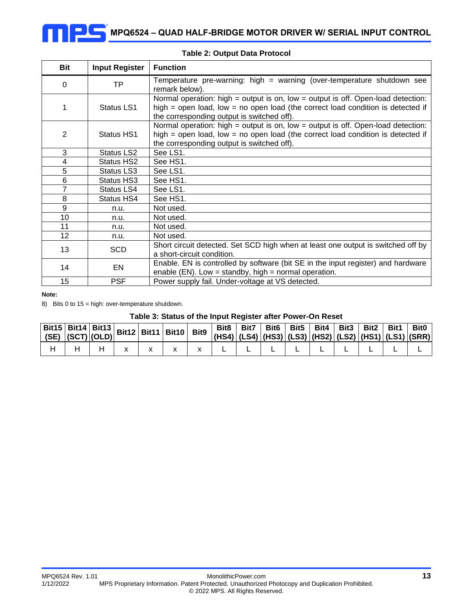| Bit            | <b>Input Register</b> | <b>Function</b>                                                                                                                                                                                                       |
|----------------|-----------------------|-----------------------------------------------------------------------------------------------------------------------------------------------------------------------------------------------------------------------|
| 0              | TP                    | Temperature pre-warning: high = warning (over-temperature shutdown see<br>remark below).                                                                                                                              |
|                | Status LS1            | Normal operation: high $=$ output is on, low $=$ output is off. Open-load detection:<br>high = open load, low = no open load (the correct load condition is detected if<br>the corresponding output is switched off). |
| $\overline{2}$ | Status HS1            | Normal operation: high $=$ output is on, low $=$ output is off. Open-load detection:<br>high = open load, low = no open load (the correct load condition is detected if<br>the corresponding output is switched off). |
| 3              | Status LS2            | See LS1.                                                                                                                                                                                                              |
| 4              | Status HS2            | See HS1.                                                                                                                                                                                                              |
| 5              | Status LS3            | See LS1.                                                                                                                                                                                                              |
| 6              | Status HS3            | See HS1.                                                                                                                                                                                                              |
| $\overline{7}$ | Status LS4            | See LS1.                                                                                                                                                                                                              |
| 8              | Status HS4            | See HS1.                                                                                                                                                                                                              |
| 9              | n.u.                  | Not used.                                                                                                                                                                                                             |
| 10             | n.u.                  | Not used.                                                                                                                                                                                                             |
| 11             | n.u.                  | Not used.                                                                                                                                                                                                             |
| 12             | n.u.                  | Not used.                                                                                                                                                                                                             |
| 13             | <b>SCD</b>            | Short circuit detected. Set SCD high when at least one output is switched off by<br>a short-circuit condition.                                                                                                        |
| 14             | EN                    | Enable. EN is controlled by software (bit SE in the input register) and hardware<br>enable (EN). Low = standby, high = normal operation.                                                                              |
| 15             | <b>PSF</b>            | Power supply fail. Under-voltage at VS detected.                                                                                                                                                                      |

#### **Table 2: Output Data Protocol**

#### **Note:**

8) Bits 0 to 15 = high: over-temperature shutdown.

#### **Table 3: Status of the Input Register after Power-On Reset**

|  | Bit15   Bit14   Bit13   Bit12   Bit11   Bit10   Bit9 |  |  | Bit8 | Bit7 | Bit6   Bit5   Bit4   Bit3   Bit2   Bit1 |  | $ (HS4) $ (LS4) $ (HS3) $ (LS3) $ (HS2) $ (LS2) $ (HS1) $ (LS1) $ (SRR) $ | <b>Bit0</b> |
|--|------------------------------------------------------|--|--|------|------|-----------------------------------------|--|---------------------------------------------------------------------------|-------------|
|  |                                                      |  |  |      |      |                                         |  |                                                                           |             |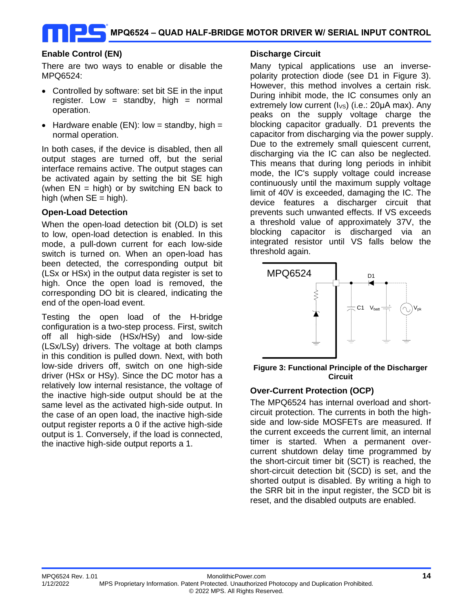#### **Enable Control (EN)**

There are two ways to enable or disable the MPQ6524:

- Controlled by software: set bit SE in the input register. Low = standby, high = normal operation.
- Hardware enable  $(EN)$ : low = standby, high = normal operation.

In both cases, if the device is disabled, then all output stages are turned off, but the serial interface remains active. The output stages can be activated again by setting the bit SE high (when  $EN = high$ ) or by switching EN back to high (when  $SE = high$ ).

#### **Open-Load Detection**

When the open-load detection bit (OLD) is set to low, open-load detection is enabled. In this mode, a pull-down current for each low-side switch is turned on. When an open-load has been detected, the corresponding output bit (LSx or HSx) in the output data register is set to high. Once the open load is removed, the corresponding DO bit is cleared, indicating the end of the open-load event.

Testing the open load of the H-bridge configuration is a two-step process. First, switch off all high-side (HSx/HSy) and low-side (LSx/LSy) drivers. The voltage at both clamps in this condition is pulled down. Next, with both low-side drivers off, switch on one high-side driver (HSx or HSy). Since the DC motor has a relatively low internal resistance, the voltage of the inactive high-side output should be at the same level as the activated high-side output. In the case of an open load, the inactive high-side output register reports a 0 if the active high-side output is 1. Conversely, if the load is connected, the inactive high-side output reports a 1.

#### **Discharge Circuit**

Many typical applications use an inversepolarity protection diode (see D1 in Figure 3). However, this method involves a certain risk. During inhibit mode, the IC consumes only an extremely low current  $(I_{VS})$  (i.e.: 20 $\mu$ A max). Any peaks on the supply voltage charge the blocking capacitor gradually. D1 prevents the capacitor from discharging via the power supply. Due to the extremely small quiescent current, discharging via the IC can also be neglected. This means that during long periods in inhibit mode, the IC's supply voltage could increase continuously until the maximum supply voltage limit of 40V is exceeded, damaging the IC. The device features a discharger circuit that prevents such unwanted effects. If VS exceeds a threshold value of approximately 37V, the blocking capacitor is discharged via an integrated resistor until VS falls below the threshold again.



**Figure 3: Functional Principle of the Discharger Circuit**

#### **Over-Current Protection (OCP)**

The MPQ6524 has internal overload and shortcircuit protection. The currents in both the highside and low-side MOSFETs are measured. If the current exceeds the current limit, an internal timer is started. When a permanent overcurrent shutdown delay time programmed by the short-circuit timer bit (SCT) is reached, the short-circuit detection bit (SCD) is set, and the shorted output is disabled. By writing a high to the SRR bit in the input register, the SCD bit is reset, and the disabled outputs are enabled.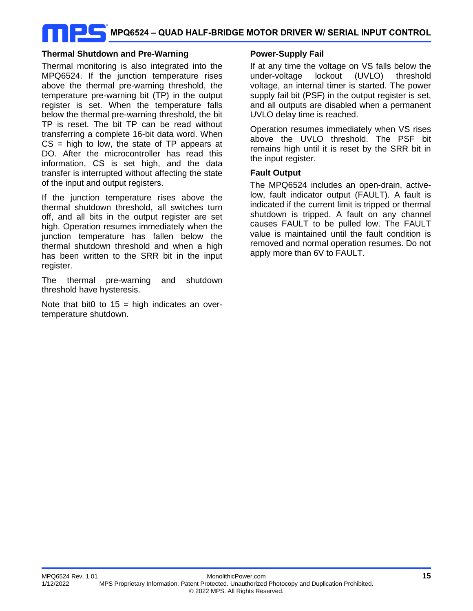# **MPQ6524 – QUAD HALF-BRIDGE MOTOR DRIVER W/ SERIAL INPUT CONTROL**

#### **Thermal Shutdown and Pre-Warning**

Thermal monitoring is also integrated into the MPQ6524. If the junction temperature rises above the thermal pre-warning threshold, the temperature pre-warning bit (TP) in the output register is set. When the temperature falls below the thermal pre-warning threshold, the bit TP is reset. The bit TP can be read without transferring a complete 16-bit data word. When  $CS = high$  to low, the state of TP appears at DO. After the microcontroller has read this information, CS is set high, and the data transfer is interrupted without affecting the state of the input and output registers.

If the junction temperature rises above the thermal shutdown threshold, all switches turn off, and all bits in the output register are set high. Operation resumes immediately when the junction temperature has fallen below the thermal shutdown threshold and when a high has been written to the SRR bit in the input register.

The thermal pre-warning and shutdown threshold have hysteresis.

Note that bit0 to  $15 =$  high indicates an overtemperature shutdown.

#### **Power-Supply Fail**

If at any time the voltage on VS falls below the under-voltage lockout (UVLO) threshold voltage, an internal timer is started. The power supply fail bit (PSF) in the output register is set, and all outputs are disabled when a permanent UVLO delay time is reached.

Operation resumes immediately when VS rises above the UVLO threshold. The PSF bit remains high until it is reset by the SRR bit in the input register.

#### **Fault Output**

The MPQ6524 includes an open-drain, activelow, fault indicator output (FAULT). A fault is indicated if the current limit is tripped or thermal shutdown is tripped. A fault on any channel causes FAULT to be pulled low. The FAULT value is maintained until the fault condition is removed and normal operation resumes. Do not apply more than 6V to FAULT.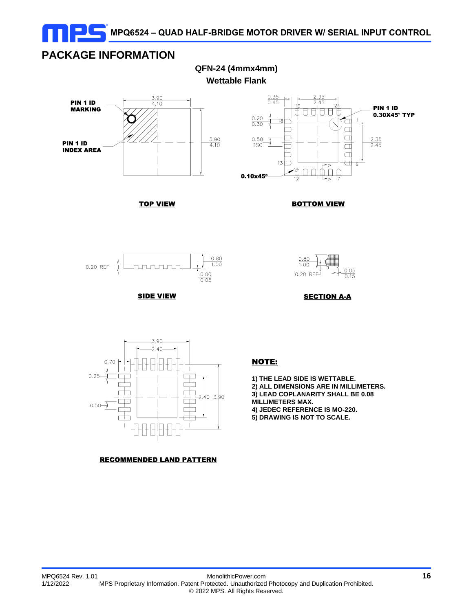

**QFN-24 (4mmx4mm)**

### **PACKAGE INFORMATION**



 $\frac{0.35}{0.45}$ PIN 1 ID 0.30X45° TYP 18 IT  $0.30$ n  $\Box$ Ī  $\Box$  $\frac{2.35}{2.45}$ 0.50 **BSC** D  $\Box$  $\Box$  $\Box$ D  $13$  $\Box$ ∩  $\mathbb{R}^2$ 0.10x45º

TOP VIEW





**SIDE VIEW** 



**SECTION A-A** 



#### RECOMMENDED LAND PATTERN

#### NOTE:

**1) THE LEAD SIDE IS WETTABLE.**

- **2) ALL DIMENSIONS ARE IN MILLIMETERS.**
- **3) LEAD COPLANARITY SHALL BE 0.08**

**MILLIMETERS MAX.**

**4) JEDEC REFERENCE IS MO-220.**

**5) DRAWING IS NOT TO SCALE.**